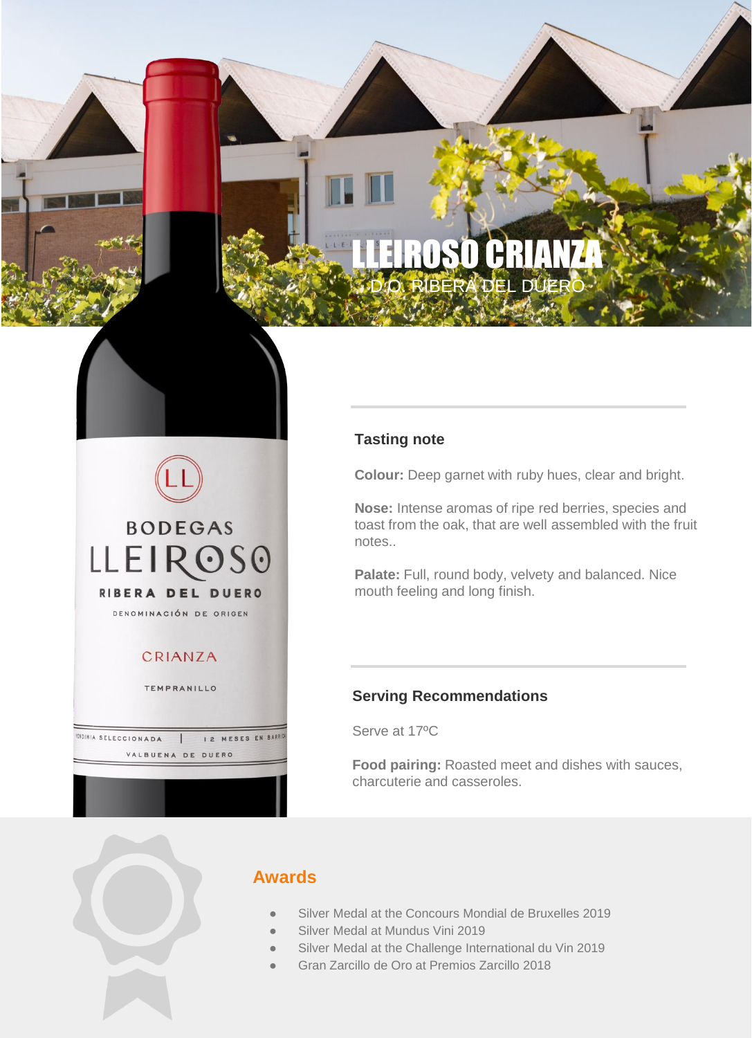# DRUTHHA RIBERA DEL DI

LA LA CARACTERIA

D.O. RIBERA DEL DUERO DEL DUERO DEL DUERO DEL DUERO DEL DUERO DEL DUERO DEL DUERO DEL DUERO DEL DUERO DEL DUER

# **Colour:** Deep garnet with ruby hues, clear and bright.

**Nose:** Intense aromas of ripe red berries, species and toast from the oak, that are well assembled with the fruit notes..

Palate: Full, round body, velvety and balanced. Nice mouth feeling and long finish.

## **Serving Recommendations**

Serve at 17ºC

**Tasting note**

**Food pairing:** Roasted meet and dishes with sauces, charcuterie and casseroles.



**IENDIMIA SELECCIONADA** 

**BODEGAS** 

**LLEIROSO** 

RIBERA DEL DUERO DENOMINACIÓN DE ORIGEN

CRIANZA

TEMPRANILLO

 $\overline{1}$ VALBUENA DE DUERO

I 2 MESES EN BARR

# **Awards**

- Silver Medal at the Concours Mondial de Bruxelles 2019
- Silver Medal at Mundus Vini 2019
- Silver Medal at the Challenge International du Vin 2019
- Gran Zarcillo de Oro at Premios Zarcillo 2018